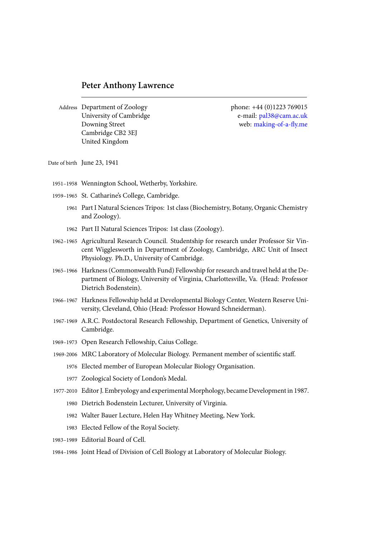Address Department of Zoology phone: +44 (0)1223 769015 University of Cambridge e-mail: pal38@cam.ac.uk Downing Street web: making-of-a-fly.me Cambridge CB2 3EJ United Kingdom

Date of birth June 23, 1941

- 1951–1958 Wennington School, Wetherby, Yorkshire.
- 1959–1965 St. Catharine's College, Cambridge.
	- 1961 Part I Natural Sciences Tripos: 1st class (Biochemistry, Botany, Organic Chemistry and Zoology).
	- 1962 Part II Natural Sciences Tripos: 1st class (Zoology).
- 1962–1965 Agricultural Research Council. Studentship for research under Professor Sir Vincent Wigglesworth in Department of Zoology, Cambridge, ARC Unit of Insect Physiology. Ph.D., University of Cambridge.
- 1965–1966 Harkness (Commonwealth Fund) Fellowship for research and travel held at the Department of Biology, University of Virginia, Charlottesville, Va. (Head: Professor Dietrich Bodenstein).
- 1966–1967 Harkness Fellowship held at Developmental Biology Center, Western Reserve University, Cleveland, Ohio (Head: Professor Howard Schneiderman).
- 1967-1969 A.R.C. Postdoctoral Research Fellowship, Department of Genetics, University of Cambridge.
- 1969–1973 Open Research Fellowship, Caius College.
- 1969-2006 MRC Laboratory of Molecular Biology. Permanent member of scientific staff.
	- 1976 Elected member of European Molecular Biology Organisation.
	- 1977 Zoological Society of London's Medal.
- 1977-2010 Editor J. Embryology and experimental Morphology, became Development in 1987.
	- 1980 Dietrich Bodenstein Lecturer, University of Virginia.
	- 1982 Walter Bauer Lecture, Helen Hay Whitney Meeting, New York.
	- 1983 Elected Fellow of the Royal Society.
- 1983–1989 Editorial Board of Cell.
- 1984–1986 Joint Head of Division of Cell Biology at Laboratory of Molecular Biology.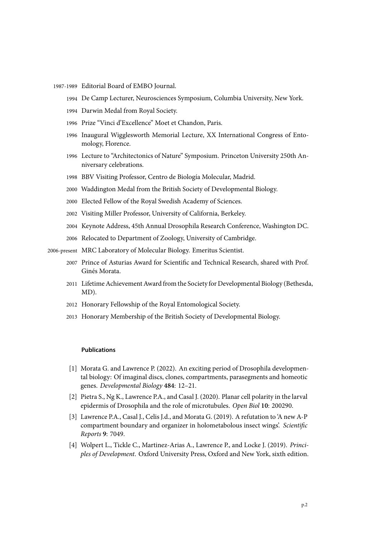- 1987-1989 Editorial Board of EMBO Journal.
	- 1994 De Camp Lecturer, Neurosciences Symposium, Columbia University, New York.
	- 1994 Darwin Medal from Royal Society.
	- 1996 Prize "Vinci d'Excellence" Moet et Chandon, Paris.
	- 1996 Inaugural Wigglesworth Memorial Lecture, XX International Congress of Entomology, Florence.
	- 1996 Lecture to "Architectonics of Nature" Symposium. Princeton University 250th Anniversary celebrations.
	- 1998 BBV Visiting Professor, Centro de Biología Molecular, Madrid.
	- 2000 Waddington Medal from the British Society of Developmental Biology.
	- 2000 Elected Fellow of the Royal Swedish Academy of Sciences.
	- 2002 Visiting Miller Professor, University of California, Berkeley.
	- 2004 Keynote Address, 45th Annual Drosophila Research Conference, Washington DC.
	- 2006 Relocated to Department of Zoology, University of Cambridge.
- 2006-present MRC Laboratory of Molecular Biology. Emeritus Scientist.
	- 2007 Prince of Asturias Award for Scientific and Technical Research, shared with Prof. Ginés Morata.
	- 2011 Lifetime Achievement Award from the Society for Developmental Biology (Bethesda, MD).
	- 2012 Honorary Fellowship of the Royal Entomological Society.
	- 2013 Honorary Membership of the British Society of Developmental Biology.

## **Publications**

- [1] Morata G. and Lawrence P. (2022). An exciting period of Drosophila developmental biology: Of imaginal discs, clones, compartments, parasegments and homeotic genes. *Developmental Biology* **484**: 12–21.
- [2] Pietra S., Ng K., Lawrence P.A., and Casal J. (2020). Planar cell polarity in the larval epidermis of Drosophila and the role of microtubules. *Open Biol* **10**: 200290.
- [3] Lawrence P.A., Casal J., Celis J.d., and Morata G. (2019). A refutation to 'A new A-P compartment boundary and organizer in holometabolous insect wings'. *Scientific Reports* **9**: 7049.
- [4] Wolpert L., Tickle C., Martinez-Arias A., Lawrence P., and Locke J. (2019). *Principles of Development*. Oxford University Press, Oxford and New York, sixth edition.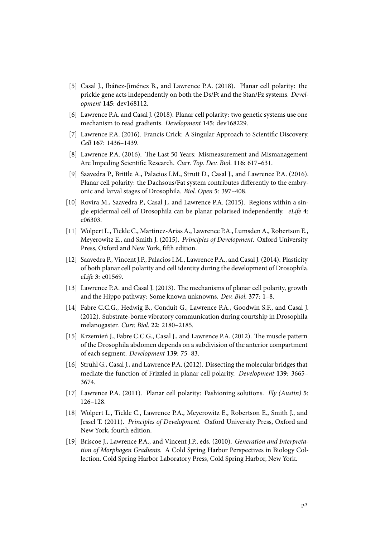- [5] Casal J., Ibáñez-Jiménez B., and Lawrence P.A. (2018). Planar cell polarity: the prickle gene acts independently on both the Ds/Ft and the Stan/Fz systems. *Development* **145**: dev168112.
- [6] Lawrence P.A. and Casal J. (2018). Planar cell polarity: two genetic systems use one mechanism to read gradients. *Development* **145**: dev168229.
- [7] Lawrence P.A. (2016). Francis Crick: A Singular Approach to Scientific Discovery. *Cell* **167**: 1436–1439.
- [8] Lawrence P.A. (2016). The Last 50 Years: Mismeasurement and Mismanagement Are Impeding Scientific Research. *Curr. Top. Dev. Biol.* **116**: 617–631.
- [9] Saavedra P., Brittle A., Palacios I.M., Strutt D., Casal J., and Lawrence P.A. (2016). Planar cell polarity: the Dachsous/Fat system contributes differently to the embryonic and larval stages of Drosophila. *Biol. Open* **5**: 397–408.
- [10] Rovira M., Saavedra P., Casal J., and Lawrence P.A. (2015). Regions within a single epidermal cell of Drosophila can be planar polarised independently. *eLife* **4**: e06303.
- [11] Wolpert L., Tickle C., Martinez-Arias A., Lawrence P.A., Lumsden A., Robertson E., Meyerowitz E., and Smith J. (2015). *Principles of Development*. Oxford University Press, Oxford and New York, fifth edition.
- [12] Saavedra P., Vincent J.P., Palacios I.M., Lawrence P.A., and Casal J. (2014). Plasticity of both planar cell polarity and cell identity during the development of Drosophila. *eLife* **3**: e01569.
- [13] Lawrence P.A. and Casal J. (2013). The mechanisms of planar cell polarity, growth and the Hippo pathway: Some known unknowns. *Dev. Biol.* **377**: 1–8.
- [14] Fabre C.C.G., Hedwig B., Conduit G., Lawrence P.A., Goodwin S.F., and Casal J. (2012). Substrate-borne vibratory communication during courtship in Drosophila melanogaster. *Curr. Biol.* **22**: 2180–2185.
- [15] Krzemień J., Fabre C.C.G., Casal J., and Lawrence P.A. (2012). The muscle pattern of the Drosophila abdomen depends on a subdivision of the anterior compartment of each segment. *Development* **139**: 75–83.
- [16] Struhl G., Casal J., and Lawrence P.A. (2012). Dissecting the molecular bridges that mediate the function of Frizzled in planar cell polarity. *Development* **139**: 3665– 3674.
- [17] Lawrence P.A. (2011). Planar cell polarity: Fashioning solutions. *Fly (Austin)* **5**: 126–128.
- [18] Wolpert L., Tickle C., Lawrence P.A., Meyerowitz E., Robertson E., Smith J., and Jessel T. (2011). *Principles of Development*. Oxford University Press, Oxford and New York, fourth edition.
- [19] Briscoe J., Lawrence P.A., and Vincent J.P., eds. (2010). *Generation and Interpretation of Morphogen Gradients*. A Cold Spring Harbor Perspectives in Biology Collection. Cold Spring Harbor Laboratory Press, Cold Spring Harbor, New York.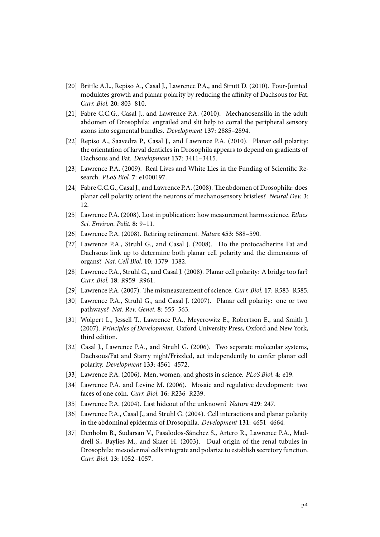- [20] Brittle A.L., Repiso A., Casal J., Lawrence P.A., and Strutt D. (2010). Four-Jointed modulates growth and planar polarity by reducing the affinity of Dachsous for Fat. *Curr. Biol.* **20**: 803–810.
- [21] Fabre C.C.G., Casal J., and Lawrence P.A. (2010). Mechanosensilla in the adult abdomen of Drosophila: engrailed and slit help to corral the peripheral sensory axons into segmental bundles. *Development* **137**: 2885–2894.
- [22] Repiso A., Saavedra P., Casal J., and Lawrence P.A. (2010). Planar cell polarity: the orientation of larval denticles in Drosophila appears to depend on gradients of Dachsous and Fat. *Development* **137**: 3411–3415.
- [23] Lawrence P.A. (2009). Real Lives and White Lies in the Funding of Scientific Research. *PLoS Biol.* **7**: e1000197.
- [24] Fabre C.C.G., Casal J., and Lawrence P.A. (2008). The abdomen of Drosophila: does planar cell polarity orient the neurons of mechanosensory bristles? *Neural Dev.* **3**: 12.
- [25] Lawrence P.A. (2008). Lost in publication: how measurement harms science. *Ethics Sci. Environ. Polit.* **8**: 9–11.
- [26] Lawrence P.A. (2008). Retiring retirement. *Nature* **453**: 588–590.
- [27] Lawrence P.A., Struhl G., and Casal J. (2008). Do the protocadherins Fat and Dachsous link up to determine both planar cell polarity and the dimensions of organs? *Nat. Cell Biol.* **10**: 1379–1382.
- [28] Lawrence P.A., Struhl G., and Casal J. (2008). Planar cell polarity: A bridge too far? *Curr. Biol.* **18**: R959–R961.
- [29] Lawrence P.A. (2007). The mismeasurement of science. *Curr. Biol.* **17**: R583–R585.
- [30] Lawrence P.A., Struhl G., and Casal J. (2007). Planar cell polarity: one or two pathways? *Nat. Rev. Genet.* **8**: 555–563.
- [31] Wolpert L., Jessell T., Lawrence P.A., Meyerowitz E., Robertson E., and Smith J. (2007). *Principles of Development*. Oxford University Press, Oxford and New York, third edition.
- [32] Casal J., Lawrence P.A., and Struhl G. (2006). Two separate molecular systems, Dachsous/Fat and Starry night/Frizzled, act independently to confer planar cell polarity. *Development* **133**: 4561–4572.
- [33] Lawrence P.A. (2006). Men, women, and ghosts in science. *PLoS Biol.* **4**: e19.
- [34] Lawrence P.A. and Levine M. (2006). Mosaic and regulative development: two faces of one coin. *Curr. Biol.* **16**: R236–R239.
- [35] Lawrence P.A. (2004). Last hideout of the unknown? *Nature* **429**: 247.
- [36] Lawrence P.A., Casal J., and Struhl G. (2004). Cell interactions and planar polarity in the abdominal epidermis of Drosophila. *Development* **131**: 4651–4664.
- [37] Denholm B., Sudarsan V., Pasalodos-Sánchez S., Artero R., Lawrence P.A., Maddrell S., Baylies M., and Skaer H. (2003). Dual origin of the renal tubules in Drosophila: mesodermal cells integrate and polarize to establish secretory function. *Curr. Biol.* **13**: 1052–1057.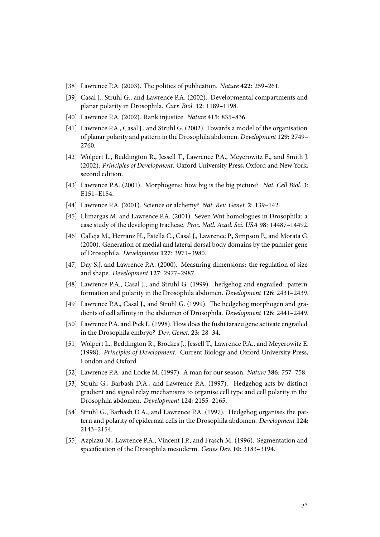- [38] Lawrence P.A. (2003). The politics of publication. *Nature* **422**: 259–261.
- [39] Casal J., Struhl G., and Lawrence P.A. (2002). Developmental compartments and planar polarity in Drosophila. *Curr. Biol.* **12**: 1189–1198.
- [40] Lawrence P.A. (2002). Rank injustice. *Nature* **415**: 835–836.
- [41] Lawrence P.A., Casal J., and Struhl G. (2002). Towards a model of the organisation of planar polarity and pattern in the Drosophila abdomen. *Development* **129**: 2749– 2760.
- [42] Wolpert L., Beddington R., Jessell T., Lawrence P.A., Meyerowitz E., and Smith J. (2002). *Principles of Development*. Oxford University Press, Oxford and New York, second edition.
- [43] Lawrence P.A. (2001). Morphogens: how big is the big picture? *Nat. Cell Biol.* **3**: E151–E154.
- [44] Lawrence P.A. (2001). Science or alchemy? *Nat. Rev. Genet.* **2**: 139–142.
- [45] Llimargas M. and Lawrence P.A. (2001). Seven Wnt homologues in Drosophila: a case study of the developing tracheae. *Proc. Natl. Acad. Sci. USA* **98**: 14487–14492.
- [46] Calleja M., Herranz H., Estella C., Casal J., Lawrence P., Simpson P., and Morata G. (2000). Generation of medial and lateral dorsal body domains by the pannier gene of Drosophila. *Development* **127**: 3971–3980.
- [47] Day S.J. and Lawrence P.A. (2000). Measuring dimensions: the regulation of size and shape. *Development* **127**: 2977–2987.
- [48] Lawrence P.A., Casal J., and Struhl G. (1999). hedgehog and engrailed: pattern formation and polarity in the Drosophila abdomen. *Development* **126**: 2431–2439.
- [49] Lawrence P.A., Casal J., and Struhl G. (1999). The hedgehog morphogen and gradients of cell affinity in the abdomen of Drosophila. *Development* **126**: 2441–2449.
- [50] Lawrence P.A. and Pick L. (1998). How does the fushi tarazu gene activate engrailed in the Drosophila embryo? *Dev. Genet.* **23**: 28–34.
- [51] Wolpert L., Beddington R., Brockes J., Jessell T., Lawrence P.A., and Meyerowitz E. (1998). *Principles of Development*. Current Biology and Oxford University Press, London and Oxford.
- [52] Lawrence P.A. and Locke M. (1997). A man for our season. *Nature* **386**: 757–758.
- [53] Struhl G., Barbash D.A., and Lawrence P.A. (1997). Hedgehog acts by distinct gradient and signal relay mechanisms to organise cell type and cell polarity in the Drosophila abdomen. *Development* **124**: 2155–2165.
- [54] Struhl G., Barbash D.A., and Lawrence P.A. (1997). Hedgehog organises the pattern and polarity of epidermal cells in the Drosophila abdomen. *Development* **124**: 2143–2154.
- [55] Azpiazu N., Lawrence P.A., Vincent J.P., and Frasch M. (1996). Segmentation and specification of the Drosophila mesoderm. *Genes Dev.* **10**: 3183–3194.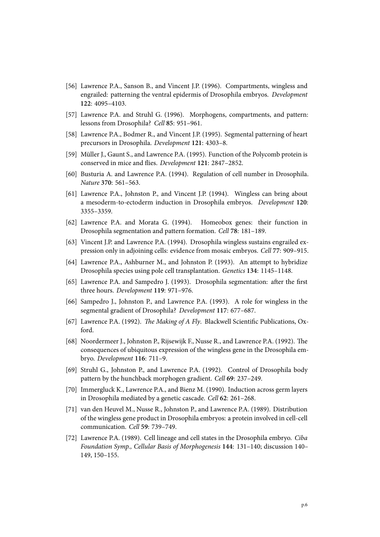- [56] Lawrence P.A., Sanson B., and Vincent J.P. (1996). Compartments, wingless and engrailed: patterning the ventral epidermis of Drosophila embryos. *Development* **122**: 4095–4103.
- [57] Lawrence P.A. and Struhl G. (1996). Morphogens, compartments, and pattern: lessons from Drosophila? *Cell* **85**: 951–961.
- [58] Lawrence P.A., Bodmer R., and Vincent J.P. (1995). Segmental patterning of heart precursors in Drosophila. *Development* **121**: 4303–8.
- [59] Müller J., Gaunt S., and Lawrence P.A. (1995). Function of the Polycomb protein is conserved in mice and flies. *Development* **121**: 2847–2852.
- [60] Busturia A. and Lawrence P.A. (1994). Regulation of cell number in Drosophila. *Nature* **370**: 561–563.
- [61] Lawrence P.A., Johnston P., and Vincent J.P. (1994). Wingless can bring about a mesoderm-to-ectoderm induction in Drosophila embryos. *Development* **120**: 3355–3359.
- [62] Lawrence P.A. and Morata G. (1994). Homeobox genes: their function in Drosophila segmentation and pattern formation. *Cell* **78**: 181–189.
- [63] Vincent J.P. and Lawrence P.A. (1994). Drosophila wingless sustains engrailed expression only in adjoining cells: evidence from mosaic embryos. *Cell* **77**: 909–915.
- [64] Lawrence P.A., Ashburner M., and Johnston P. (1993). An attempt to hybridize Drosophila species using pole cell transplantation. *Genetics* **134**: 1145–1148.
- [65] Lawrence P.A. and Sampedro J. (1993). Drosophila segmentation: after the first three hours. *Development* **119**: 971–976.
- [66] Sampedro J., Johnston P., and Lawrence P.A. (1993). A role for wingless in the segmental gradient of Drosophila? *Development* **117**: 677–687.
- [67] Lawrence P.A. (1992). *The Making of A Fly*. Blackwell Scientific Publications, Oxford.
- [68] Noordermeer J., Johnston P., Rijsewijk F., Nusse R., and Lawrence P.A. (1992). The consequences of ubiquitous expression of the wingless gene in the Drosophila embryo. *Development* **116**: 711–9.
- [69] Struhl G., Johnston P., and Lawrence P.A. (1992). Control of Drosophila body pattern by the hunchback morphogen gradient. *Cell* **69**: 237–249.
- [70] Immergluck K., Lawrence P.A., and Bienz M. (1990). Induction across germ layers in Drosophila mediated by a genetic cascade. *Cell* **62**: 261–268.
- [71] van den Heuvel M., Nusse R., Johnston P., and Lawrence P.A. (1989). Distribution of the wingless gene product in Drosophila embryos: a protein involved in cell-cell communication. *Cell* **59**: 739–749.
- [72] Lawrence P.A. (1989). Cell lineage and cell states in the Drosophila embryo. *Ciba Foundation Symp., Cellular Basis of Morphogenesis* **144**: 131–140; discussion 140– 149, 150–155.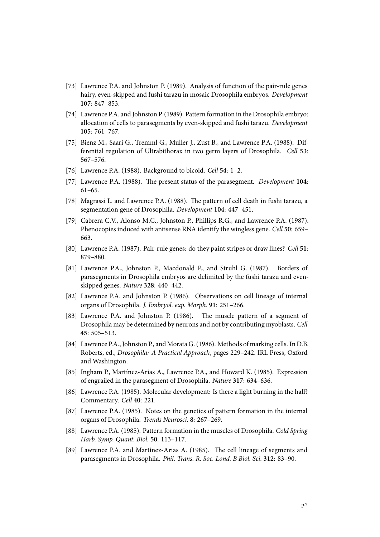- [73] Lawrence P.A. and Johnston P. (1989). Analysis of function of the pair-rule genes hairy, even-skipped and fushi tarazu in mosaic Drosophila embryos. *Development* **107**: 847–853.
- [74] Lawrence P.A. and Johnston P. (1989). Pattern formation in the Drosophila embryo: allocation of cells to parasegments by even-skipped and fushi tarazu. *Development* **105**: 761–767.
- [75] Bienz M., Saari G., Tremml G., Muller J., Zust B., and Lawrence P.A. (1988). Differential regulation of Ultrabithorax in two germ layers of Drosophila. *Cell* **53**: 567–576.
- [76] Lawrence P.A. (1988). Background to bicoid. *Cell* **54**: 1–2.
- [77] Lawrence P.A. (1988). The present status of the parasegment. *Development* **104**: 61–65.
- [78] Magrassi L. and Lawrence P.A. (1988). The pattern of cell death in fushi tarazu, a segmentation gene of Drosophila. *Development* **104**: 447–451.
- [79] Cabrera C.V., Alonso M.C., Johnston P., Phillips R.G., and Lawrence P.A. (1987). Phenocopies induced with antisense RNA identify the wingless gene. *Cell* **50**: 659– 663.
- [80] Lawrence P.A. (1987). Pair-rule genes: do they paint stripes or draw lines? *Cell* **51**: 879–880.
- [81] Lawrence P.A., Johnston P., Macdonald P., and Struhl G. (1987). Borders of parasegments in Drosophila embryos are delimited by the fushi tarazu and evenskipped genes. *Nature* **328**: 440–442.
- [82] Lawrence P.A. and Johnston P. (1986). Observations on cell lineage of internal organs of Drosophila. *J. Embryol. exp. Morph.* **91**: 251–266.
- [83] Lawrence P.A. and Johnston P. (1986). The muscle pattern of a segment of Drosophila may be determined by neurons and not by contributing myoblasts. *Cell* **45**: 505–513.
- [84] Lawrence P.A., Johnston P., and Morata G. (1986). Methods of marking cells. In D.B. Roberts, ed., *Drosophila: A Practical Approach*, pages 229–242. IRL Press, Oxford and Washington.
- [85] Ingham P., Martínez-Arias A., Lawrence P.A., and Howard K. (1985). Expression of engrailed in the parasegment of Drosophila. *Nature* **317**: 634–636.
- [86] Lawrence P.A. (1985). Molecular development: Is there a light burning in the hall? Commentary. *Cell* **40**: 221.
- [87] Lawrence P.A. (1985). Notes on the genetics of pattern formation in the internal organs of Drosophila. *Trends Neurosci.* **8**: 267–269.
- [88] Lawrence P.A. (1985). Pattern formation in the muscles of Drosophila. *Cold Spring Harb. Symp. Quant. Biol.* **50**: 113–117.
- [89] Lawrence P.A. and Martínez-Arias A. (1985). The cell lineage of segments and parasegments in Drosophila. *Phil. Trans. R. Soc. Lond. B Biol. Sci.* **312**: 83–90.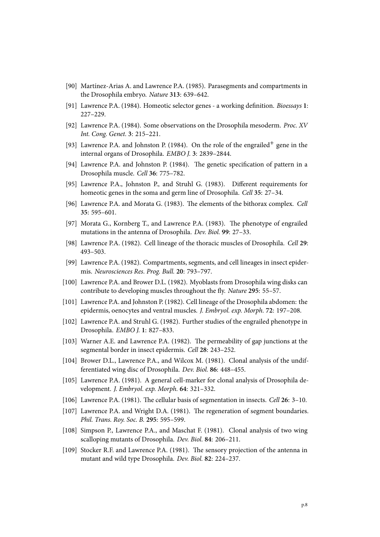- [90] Martínez-Arias A. and Lawrence P.A. (1985). Parasegments and compartments in the Drosophila embryo. *Nature* **313**: 639–642.
- [91] Lawrence P.A. (1984). Homeotic selector genes a working definition. *Bioessays* **1**: 227–229.
- [92] Lawrence P.A. (1984). Some observations on the Drosophila mesoderm. *Proc. XV Int. Cong. Genet.* **3**: 215–221.
- [93] Lawrence P.A. and Johnston P. (1984). On the role of the engrailed<sup>+</sup> gene in the internal organs of Drosophila. *EMBO J.* **3**: 2839–2844.
- [94] Lawrence P.A. and Johnston P. (1984). The genetic specification of pattern in a Drosophila muscle. *Cell* **36**: 775–782.
- [95] Lawrence P.A., Johnston P., and Struhl G. (1983). Different requirements for homeotic genes in the soma and germ line of Drosophila. *Cell* **35**: 27–34.
- [96] Lawrence P.A. and Morata G. (1983). The elements of the bithorax complex. *Cell* **35**: 595–601.
- [97] Morata G., Kornberg T., and Lawrence P.A. (1983). The phenotype of engrailed mutations in the antenna of Drosophila. *Dev. Biol.* **99**: 27–33.
- [98] Lawrence P.A. (1982). Cell lineage of the thoracic muscles of Drosophila. *Cell* **29**: 493–503.
- [99] Lawrence P.A. (1982). Compartments, segments, and cell lineages in insect epidermis. *Neurosciences Res. Prog. Bull.* **20**: 793–797.
- [100] Lawrence P.A. and Brower D.L. (1982). Myoblasts from Drosophila wing disks can contribute to developing muscles throughout the fly. *Nature* **295**: 55–57.
- [101] Lawrence P.A. and Johnston P. (1982). Cell lineage of the Drosophila abdomen: the epidermis, oenocytes and ventral muscles. *J. Embryol. exp. Morph.* **72**: 197–208.
- [102] Lawrence P.A. and Struhl G. (1982). Further studies of the engrailed phenotype in Drosophila. *EMBO J.* **1**: 827–833.
- [103] Warner A.E. and Lawrence P.A. (1982). The permeability of gap junctions at the segmental border in insect epidermis. *Cell* **28**: 243–252.
- [104] Brower D.L., Lawrence P.A., and Wilcox M. (1981). Clonal analysis of the undifferentiated wing disc of Drosophila. *Dev. Biol.* **86**: 448–455.
- [105] Lawrence P.A. (1981). A general cell-marker for clonal analysis of Drosophila development. *J. Embryol. exp. Morph.* **64**: 321–332.
- [106] Lawrence P.A. (1981). The cellular basis of segmentation in insects. *Cell* **26**: 3–10.
- [107] Lawrence P.A. and Wright D.A. (1981). The regeneration of segment boundaries. *Phil. Trans. Roy. Soc. B.* **295**: 595–599.
- [108] Simpson P., Lawrence P.A., and Maschat F. (1981). Clonal analysis of two wing scalloping mutants of Drosophila. *Dev. Biol.* **84**: 206–211.
- [109] Stocker R.F. and Lawrence P.A. (1981). The sensory projection of the antenna in mutant and wild type Drosophila. *Dev. Biol.* **82**: 224–237.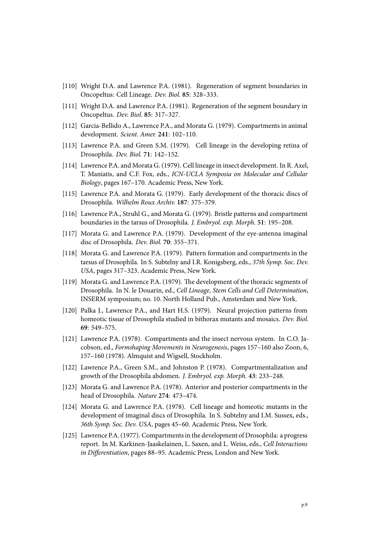- [110] Wright D.A. and Lawrence P.A. (1981). Regeneration of segment boundaries in Oncopeltus: Cell Lineage. *Dev. Biol.* **85**: 328–333.
- [111] Wright D.A. and Lawrence P.A. (1981). Regeneration of the segment boundary in Oncopeltus. *Dev. Biol.* **85**: 317–327.
- [112] Garcia-Bellido A., Lawrence P.A., and Morata G. (1979). Compartments in animal development. *Scient. Amer.* **241**: 102–110.
- [113] Lawrence P.A. and Green S.M. (1979). Cell lineage in the developing retina of Drosophila. *Dev. Biol.* **71**: 142–152.
- [114] Lawrence P.A. and Morata G. (1979). Cell lineage in insect development. In R. Axel, T. Maniatis, and C.F. Fox, eds., *ICN-UCLA Symposia on Molecular and Cellular Biology*, pages 167–170. Academic Press, New York.
- [115] Lawrence P.A. and Morata G. (1979). Early development of the thoracic discs of Drosophila. *Wilhelm Roux Archiv.* **187**: 375–379.
- [116] Lawrence P.A., Struhl G., and Morata G. (1979). Bristle patterns and compartment boundaries in the tarsus of Drosophila. *J. Embryol. exp. Morph.* **51**: 195–208.
- [117] Morata G. and Lawrence P.A. (1979). Development of the eye-antenna imaginal disc of Drosophila. *Dev. Biol.* **70**: 355–371.
- [118] Morata G. and Lawrence P.A. (1979). Pattern formation and compartments in the tarsus of Drosophila. In S. Subtelny and I.R. Konigsberg, eds., *37th Symp. Soc. Dev. USA*, pages 317–323. Academic Press, New York.
- [119] Morata G. and Lawrence P.A. (1979). The development of the thoracic segments of Drosophila. In N. le Douarin, ed., *Cell Lineage, Stem Cells and Cell Determination*, INSERM symposium; no. 10. North Holland Pub., Amsterdam and New York.
- [120] Palka J., Lawrence P.A., and Hart H.S. (1979). Neural projection patterns from homeotic tissue of Drosophila studied in bithorax mutants and mosaics. *Dev. Biol.* **69**: 549–575.
- [121] Lawrence P.A. (1978). Compartments and the insect nervous system. In C.O. Jacobson, ed., *Formshaping Movements in Neurogenesis*, pages 157–160 also Zoon, 6, 157–160 (1978). Almquist and Wigsell, Stockholm.
- [122] Lawrence P.A., Green S.M., and Johnston P. (1978). Compartmentalization and growth of the Drosophila abdomen. *J. Embryol. exp. Morph.* **43**: 233–248.
- [123] Morata G. and Lawrence P.A. (1978). Anterior and posterior compartments in the head of Drosophila. *Nature* **274**: 473–474.
- [124] Morata G. and Lawrence P.A. (1978). Cell lineage and homeotic mutants in the development of imaginal discs of Drosophila. In S. Subtelny and I.M. Sussex, eds., *36th Symp. Soc. Dev. USA*, pages 45–60. Academic Press, New York.
- [125] Lawrence P.A. (1977). Compartments in the development of Drosophila: a progress report. In M. Karkinen-Jaaskelainen, L. Saxen, and L. Weiss, eds., *Cell Interactions in Differentiation*, pages 88–95. Academic Press, London and New York.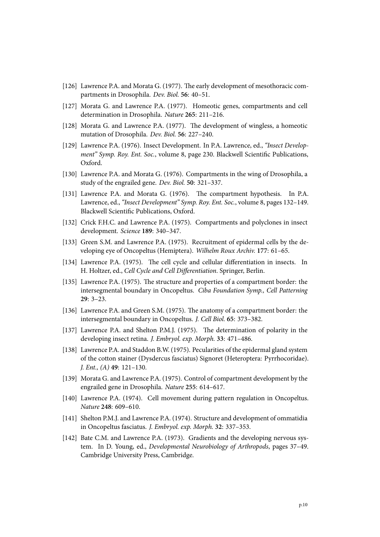- [126] Lawrence P.A. and Morata G. (1977). The early development of mesothoracic compartments in Drosophila. *Dev. Biol.* **56**: 40–51.
- [127] Morata G. and Lawrence P.A. (1977). Homeotic genes, compartments and cell determination in Drosophila. *Nature* **265**: 211–216.
- [128] Morata G. and Lawrence P.A. (1977). The development of wingless, a homeotic mutation of Drosophila. *Dev. Biol.* **56**: 227–240.
- [129] Lawrence P.A. (1976). Insect Development. In P.A. Lawrence, ed., *"Insect Development" Symp. Roy. Ent. Soc.*, volume 8, page 230. Blackwell Scientific Publications, Oxford.
- [130] Lawrence P.A. and Morata G. (1976). Compartments in the wing of Drosophila, a study of the engrailed gene. *Dev. Biol.* **50**: 321–337.
- [131] Lawrence P.A. and Morata G. (1976). The compartment hypothesis. In P.A. Lawrence, ed., *"Insect Development" Symp. Roy. Ent. Soc.*, volume 8, pages 132–149. Blackwell Scientific Publications, Oxford.
- [132] Crick F.H.C. and Lawrence P.A. (1975). Compartments and polyclones in insect development. *Science* **189**: 340–347.
- [133] Green S.M. and Lawrence P.A. (1975). Recruitment of epidermal cells by the developing eye of Oncopeltus (Hemiptera). *Wilhelm Roux Archiv.* **177**: 61–65.
- [134] Lawrence P.A. (1975). The cell cycle and cellular differentiation in insects. In H. Holtzer, ed., *Cell Cycle and Cell Differentiation*. Springer, Berlin.
- [135] Lawrence P.A. (1975). The structure and properties of a compartment border: the intersegmental boundary in Oncopeltus. *Ciba Foundation Symp., Cell Patterning* **29**: 3–23.
- [136] Lawrence P.A. and Green S.M. (1975). The anatomy of a compartment border: the intersegmental boundary in Oncopeltus. *J. Cell Biol.* **65**: 373–382.
- [137] Lawrence P.A. and Shelton P.M.J. (1975). The determination of polarity in the developing insect retina. *J. Embryol. exp. Morph.* **33**: 471–486.
- [138] Lawrence P.A. and Staddon B.W. (1975). Pecularities of the epidermal gland system of the cotton stainer (Dysdercus fasciatus) Signoret (Heteroptera: Pyrrhocoridae). *J. Ent., (A)* **49**: 121–130.
- [139] Morata G. and Lawrence P.A. (1975). Control of compartment development by the engrailed gene in Drosophila. *Nature* **255**: 614–617.
- [140] Lawrence P.A. (1974). Cell movement during pattern regulation in Oncopeltus. *Nature* **248**: 609–610.
- [141] Shelton P.M.J. and Lawrence P.A. (1974). Structure and development of ommatidia in Oncopeltus fasciatus. *J. Embryol. exp. Morph.* **32**: 337–353.
- [142] Bate C.M. and Lawrence P.A. (1973). Gradients and the developing nervous system. In D. Young, ed., *Developmental Neurobiology of Arthropods*, pages 37–49. Cambridge University Press, Cambridge.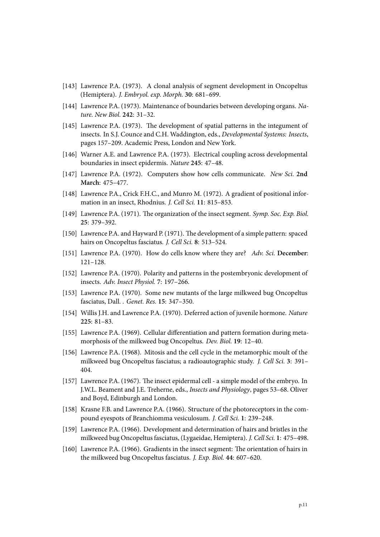- [143] Lawrence P.A. (1973). A clonal analysis of segment development in Oncopeltus (Hemiptera). *J. Embryol. exp. Morph.* **30**: 681–699.
- [144] Lawrence P.A. (1973). Maintenance of boundaries between developing organs. *Nature. New Biol.* **242**: 31–32.
- [145] Lawrence P.A. (1973). The development of spatial patterns in the integument of insects. In S.J. Counce and C.H. Waddington, eds., *Developmental Systems: Insects*, pages 157–209. Academic Press, London and New York.
- [146] Warner A.E. and Lawrence P.A. (1973). Electrical coupling across developmental boundaries in insect epidermis. *Nature* **245**: 47–48.
- [147] Lawrence P.A. (1972). Computers show how cells communicate. *New Sci.* **2nd March**: 475–477.
- [148] Lawrence P.A., Crick F.H.C., and Munro M. (1972). A gradient of positional information in an insect, Rhodnius. *J. Cell Sci.* **11**: 815–853.
- [149] Lawrence P.A. (1971). The organization of the insect segment. *Symp. Soc. Exp. Biol.* **25**: 379–392.
- [150] Lawrence P.A. and Hayward P. (1971). The development of a simple pattern: spaced hairs on Oncopeltus fasciatus. *J. Cell Sci.* **8**: 513–524.
- [151] Lawrence P.A. (1970). How do cells know where they are? *Adv. Sci.* **December**: 121–128.
- [152] Lawrence P.A. (1970). Polarity and patterns in the postembryonic development of insects. *Adv. Insect Physiol.* **7**: 197–266.
- [153] Lawrence P.A. (1970). Some new mutants of the large milkweed bug Oncopeltus fasciatus, Dall. . *Genet. Res.* **15**: 347–350.
- [154] Willis J.H. and Lawrence P.A. (1970). Deferred action of juvenile hormone. *Nature* **225**: 81–83.
- [155] Lawrence P.A. (1969). Cellular differentiation and pattern formation during metamorphosis of the milkweed bug Oncopeltus. *Dev. Biol.* **19**: 12–40.
- [156] Lawrence P.A. (1968). Mitosis and the cell cycle in the metamorphic moult of the milkweed bug Oncopeltus fasciatus; a radioautographic study. *J. Cell Sci.* **3**: 391– 404.
- [157] Lawrence P.A. (1967). The insect epidermal cell a simple model of the embryo. In J.W.L. Beament and J.E. Treherne, eds., *Insects and Physiology*, pages 53–68. Oliver and Boyd, Edinburgh and London.
- [158] Krasne F.B. and Lawrence P.A. (1966). Structure of the photoreceptors in the compound eyespots of Branchiomma vesiculosum. *J. Cell Sci.* **1**: 239–248.
- [159] Lawrence P.A. (1966). Development and determination of hairs and bristles in the milkweed bug Oncopeltus fasciatus, (Lygaeidae, Hemiptera). *J. Cell Sci.* **1**: 475–498.
- [160] Lawrence P.A. (1966). Gradients in the insect segment: The orientation of hairs in the milkweed bug Oncopeltus fasciatus. *J. Exp. Biol.* **44**: 607–620.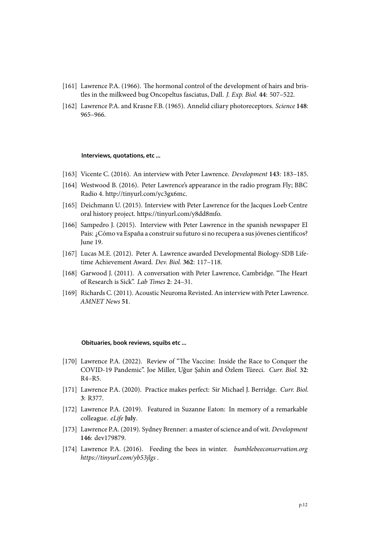- [161] Lawrence P.A. (1966). The hormonal control of the development of hairs and bristles in the milkweed bug Oncopeltus fasciatus, Dall. *J. Exp. Biol.* **44**: 507–522.
- [162] Lawrence P.A. and Krasne F.B. (1965). Annelid ciliary photoreceptors. *Science* **148**: 965–966.

## **Interviews, quotations, etc ...**

- [163] Vicente C. (2016). An interview with Peter Lawrence. *Development* **143**: 183–185.
- [164] Westwood B. (2016). Peter Lawrence's appearance in the radio program Fly; BBC Radio 4. http://tinyurl.com/yc3gx6mc.
- [165] Deichmann U. (2015). Interview with Peter Lawrence for the Jacques Loeb Centre oral history project. https://tinyurl.com/y8dd8mfo.
- [166] Sampedro J. (2015). Interview with Peter Lawrence in the spanish newspaper El Pais: ¿Cómo va España a construir su futuro si no recupera a sus jóvenes científicos? June 19.
- [167] Lucas M.E. (2012). Peter A. Lawrence awarded Developmental Biology-SDB Lifetime Achievement Award. *Dev. Biol.* **362**: 117–118.
- [168] Garwood J. (2011). A conversation with Peter Lawrence, Cambridge. "The Heart of Research is Sick". *Lab Times* **2**: 24–31.
- [169] Richards C. (2011). Acoustic Neuroma Revisted. An interview with Peter Lawrence. *AMNET News* **51**.

## **Obituaries, book reviews, squibs etc ...**

- [170] Lawrence P.A. (2022). Review of "The Vaccine: Inside the Race to Conquer the COVID-19 Pandemic". Joe Miller, Uğur Şahin and Özlem Türeci. *Curr. Biol.* **32**: R4–R5.
- [171] Lawrence P.A. (2020). Practice makes perfect: Sir Michael J. Berridge. *Curr. Biol.* **3**: R377.
- [172] Lawrence P.A. (2019). Featured in Suzanne Eaton: In memory of a remarkable colleague. *eLife* **July**.
- [173] Lawrence P.A. (2019). Sydney Brenner: a master of science and of wit. *Development* **146**: dev179879.
- [174] Lawrence P.A. (2016). Feeding the bees in winter. *bumblebeeconservation.org https://tinyurl.com/yb53jlgs* .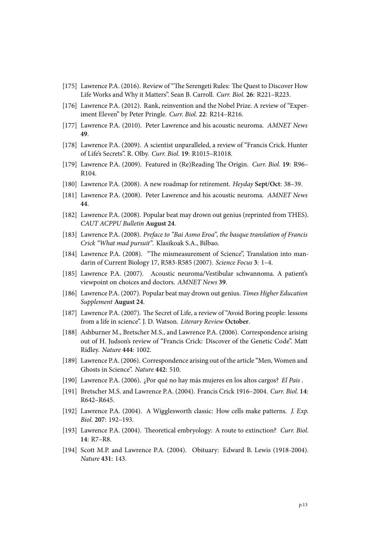- [175] Lawrence P.A. (2016). Review of "The Serengeti Rules: The Quest to Discover How Life Works and Why it Matters". Sean B. Carroll. *Curr. Biol.* **26**: R221–R223.
- [176] Lawrence P.A. (2012). Rank, reinvention and the Nobel Prize. A review of "Experiment Eleven" by Peter Pringle. *Curr. Biol.* **22**: R214–R216.
- [177] Lawrence P.A. (2010). Peter Lawrence and his acoustic neuroma. *AMNET News* **49**.
- [178] Lawrence P.A. (2009). A scientist unparalleled, a review of "Francis Crick. Hunter of Life's Secrets". R. Olby. *Curr. Biol.* **19**: R1015–R1018.
- [179] Lawrence P.A. (2009). Featured in (Re)Reading The Origin. *Curr. Biol.* **19**: R96– R104.
- [180] Lawrence P.A. (2008). A new roadmap for retirement. *Heyday* **Sept/Oct**: 38–39.
- [181] Lawrence P.A. (2008). Peter Lawrence and his acoustic neuroma. *AMNET News* **44**.
- [182] Lawrence P.A. (2008). Popular beat may drown out genius (reprinted from THES). *CAUT ACPPU Bulletin* **August 24**.
- [183] Lawrence P.A. (2008). *Preface to "Bai Asmo Eroa", the basque translation of Francis Crick "What mad pursuit"*. Klasikoak S.A., Bilbao.
- [184] Lawrence P.A. (2008). "The mismeasurement of Science", Translation into mandarin of Current Biology 17, R583-R585 (2007). *Science Focus* **3**: 1–4.
- [185] Lawrence P.A. (2007). Acoustic neuroma/Vestibular schwannoma. A patient's viewpoint on choices and doctors. *AMNET News* **39**.
- [186] Lawrence P.A. (2007). Popular beat may drown out genius. *Times Higher Education Supplement* **August 24**.
- [187] Lawrence P.A. (2007). The Secret of Life, a review of "Avoid Boring people: lessons from a life in science". J. D. Watson. *Literary Review* **October**.
- [188] Ashburner M., Bretscher M.S., and Lawrence P.A. (2006). Correspondence arising out of H. Judson's review of "Francis Crick: Discover of the Genetic Code". Matt Ridley. *Nature* **444**: 1002.
- [189] Lawrence P.A. (2006). Correspondence arising out of the article "Men, Women and Ghosts in Science". *Nature* **442**: 510.
- [190] Lawrence P.A. (2006). ¿Por qué no hay más mujeres en los altos cargos? *El Pais* .
- [191] Bretscher M.S. and Lawrence P.A. (2004). Francis Crick 1916–2004. *Curr. Biol.* **14**: R642–R645.
- [192] Lawrence P.A. (2004). A Wigglesworth classic: How cells make patterns. *J. Exp. Biol.* **207**: 192–193.
- [193] Lawrence P.A. (2004). Theoretical embryology: A route to extinction? *Curr. Biol.* **14**: R7–R8.
- [194] Scott M.P. and Lawrence P.A. (2004). Obituary: Edward B. Lewis (1918-2004). *Nature* **431**: 143.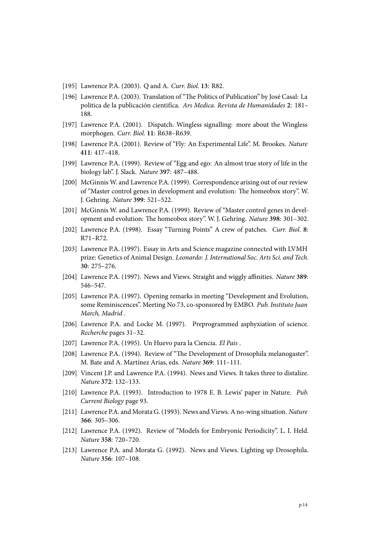- [195] Lawrence P.A. (2003). Q and A. *Curr. Biol.* **13**: R82.
- [196] Lawrence P.A. (2003). Translation of "The Politics of Publication" by José Casal: La politica de la publicación cientifíca. *Ars Medica. Revista de Humanidades* **2**: 181– 188.
- [197] Lawrence P.A. (2001). Dispatch. Wingless signalling: more about the Wingless morphogen. *Curr. Biol.* **11**: R638–R639.
- [198] Lawrence P.A. (2001). Review of "Fly: An Experimental Life". M. Brookes. *Nature* **411**: 417–418.
- [199] Lawrence P.A. (1999). Review of "Egg and ego: An almost true story of life in the biology lab". J. Slack. *Nature* **397**: 487–488.
- [200] McGinnis W. and Lawrence P.A. (1999). Correspondence arising out of our review of "Master control genes in development and evolution: The homeobox story". W. J. Gehring. *Nature* **399**: 521–522.
- [201] McGinnis W. and Lawrence P.A. (1999). Review of "Master control genes in development and evolution: The homeobox story". W. J. Gehring. *Nature* **398**: 301–302.
- [202] Lawrence P.A. (1998). Essay "Turning Points" A crew of patches. *Curr. Biol.* **8**: R71–R72.
- [203] Lawrence P.A. (1997). Essay in Arts and Science magazine connected with LVMH prize: Genetics of Animal Design. *Leonardo: J. International Soc. Arts Sci. and Tech.* **30**: 275–276.
- [204] Lawrence P.A. (1997). News and Views. Straight and wiggly affinities. *Nature* **389**: 546–547.
- [205] Lawrence P.A. (1997). Opening remarks in meeting "Development and Evolution, some Reminiscences". Meeting No 73, co-sponsored by EMBO. *Pub. Instituto Juan March, Madrid* .
- [206] Lawrence P.A. and Locke M. (1997). Preprogrammed asphyxiation of science. *Recherche* pages 31–32.
- [207] Lawrence P.A. (1995). Un Huevo para la Ciencia. *El Pais* .
- [208] Lawrence P.A. (1994). Review of "The Development of Drosophila melanogaster". M. Bate and A. Martínez Arias, eds. *Nature* **369**: 111–111.
- [209] Vincent J.P. and Lawrence P.A. (1994). News and Views. It takes three to distalize. *Nature* **372**: 132–133.
- [210] Lawrence P.A. (1993). Introduction to 1978 E. B. Lewis' paper in Nature. *Pub. Current Biology* page 93.
- [211] Lawrence P.A. and Morata G. (1993). News and Views. A no-wing situation. *Nature* **366**: 305–306.
- [212] Lawrence P.A. (1992). Review of "Models for Embryonic Periodicity". L. I. Held. *Nature* **358**: 720–720.
- [213] Lawrence P.A. and Morata G. (1992). News and Views. Lighting up Drosophila. *Nature* **356**: 107–108.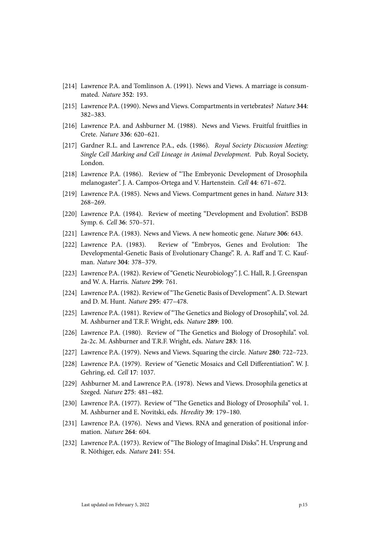- [214] Lawrence P.A. and Tomlinson A. (1991). News and Views. A marriage is consummated. *Nature* **352**: 193.
- [215] Lawrence P.A. (1990). News and Views. Compartments in vertebrates? *Nature* **344**: 382–383.
- [216] Lawrence P.A. and Ashburner M. (1988). News and Views. Fruitful fruitflies in Crete. *Nature* **336**: 620–621.
- [217] Gardner R.L. and Lawrence P.A., eds. (1986). *Royal Society Discussion Meeting: Single Cell Marking and Cell Lineage in Animal Development*. Pub. Royal Society, London.
- [218] Lawrence P.A. (1986). Review of "The Embryonic Development of Drosophila melanogaster". J. A. Campos-Ortega and V. Hartenstein. *Cell* **44**: 671–672.
- [219] Lawrence P.A. (1985). News and Views. Compartment genes in hand. *Nature* **313**: 268–269.
- [220] Lawrence P.A. (1984). Review of meeting "Development and Evolution". BSDB Symp. 6. *Cell* **36**: 570–571.
- [221] Lawrence P.A. (1983). News and Views. A new homeotic gene. *Nature* **306**: 643.
- [222] Lawrence P.A. (1983). Review of "Embryos, Genes and Evolution: The Developmental-Genetic Basis of Evolutionary Change". R. A. Raff and T. C. Kaufman. *Nature* **304**: 378–379.
- [223] Lawrence P.A. (1982). Review of "Genetic Neurobiology". J. C. Hall, R. J. Greenspan and W. A. Harris. *Nature* **299**: 761.
- [224] Lawrence P.A. (1982). Review of "The Genetic Basis of Development". A. D. Stewart and D. M. Hunt. *Nature* **295**: 477–478.
- [225] Lawrence P.A. (1981). Review of "The Genetics and Biology of Drosophila", vol. 2d. M. Ashburner and T.R.F. Wright, eds. *Nature* **289**: 100.
- [226] Lawrence P.A. (1980). Review of "The Genetics and Biology of Drosophila". vol. 2a-2c. M. Ashburner and T.R.F. Wright, eds. *Nature* **283**: 116.
- [227] Lawrence P.A. (1979). News and Views. Squaring the circle. *Nature* **280**: 722–723.
- [228] Lawrence P.A. (1979). Review of "Genetic Mosaics and Cell Differentiation". W. J. Gehring, ed. *Cell* **17**: 1037.
- [229] Ashburner M. and Lawrence P.A. (1978). News and Views. Drosophila genetics at Szeged. *Nature* **275**: 481–482.
- [230] Lawrence P.A. (1977). Review of "The Genetics and Biology of Drosophila" vol. 1. M. Ashburner and E. Novitski, eds. *Heredity* **39**: 179–180.
- [231] Lawrence P.A. (1976). News and Views. RNA and generation of positional information. *Nature* **264**: 604.
- [232] Lawrence P.A. (1973). Review of "The Biology of Imaginal Disks". H. Ursprung and R. Nöthiger, eds. *Nature* **241**: 554.